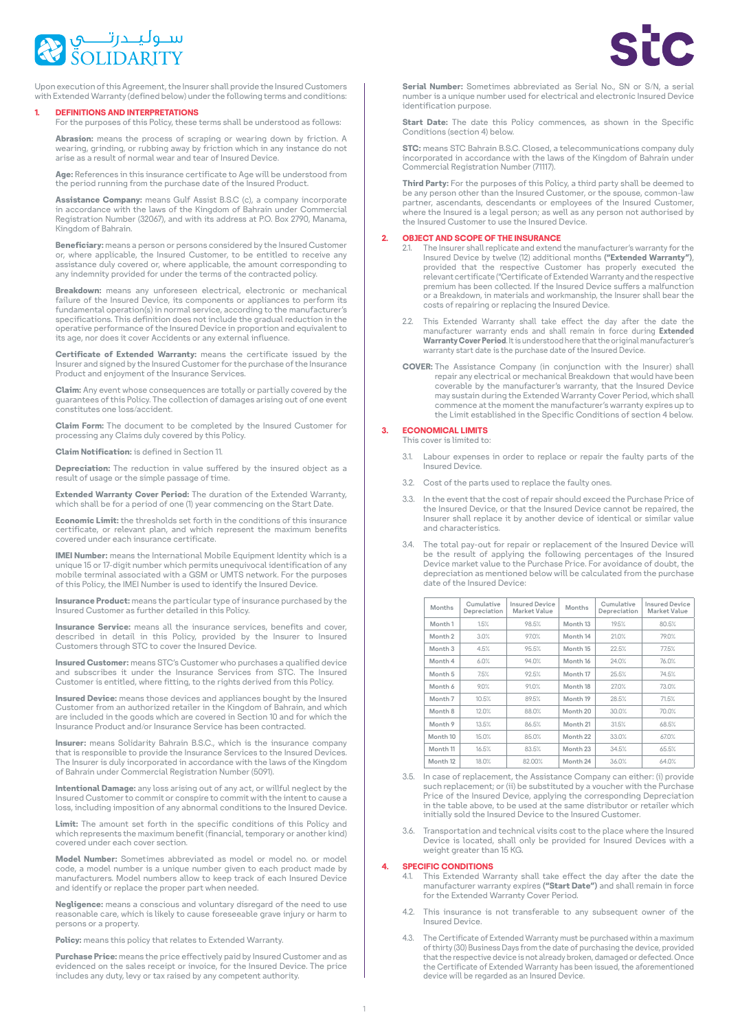

Upon execution of this Agreement, the Insurer shall provide the Insured Customers with Extended Warranty (defined below) under the following terms and conditions:

# **1. DEFINITIONS AND INTERPRETATIONS**

For the purposes of this Policy, these terms shall be understood as follows:

Abrasion: means the process of scraping or wearing down by friction. A not do in the first documents of the company of the integration  $z_1$  in the control of the process of documents of the control of the control of the control of the control of the control of the control of the control of t arise as a result of normal wear and tear of Insured Device

Age: References in this insurance certificate to Age will be understood from the period running from the purchase date of the Insured Product.

**Assistance Company:** means Gulf Assist B.S.C (c), a company incorporate<br>in accordance with the laws of the Kingdom of Bahrain under Commercial Registration Number (32067), and with its address at P.O. Box 2790, Manama, Kingdom of Bahrain.

Beneficiary: means a person or persons considered by the Insured Customer or, where applicable, the Insured Customer, to be entitled to receive any to correct the processes in the momentum correct corresponding to assistance duly covered or, where applicable, the amount corresponding to any indemnity provided for under the terms of the contracted policy.

**Breakdown:** means any unforeseen electrical, electronic or mechanical<br>failure of the Insured Device, its components or appliances to perform its fundamental operation(s) in normal service, according to the manufacturer's specifications. This definition does not include the gradual reduction in the operative performance of the Insured Device in proportion and equivalent to its age, nor does it cover Accidents or any external influence.

Certificate of Extended Warranty: means the certificate issued by the Insurer and signed by the Insured Customer for the purchase of the Insurance Product and enjoyment of the Insurance Services

Claim: Any event whose consequences are totally or partially covered by the guarantees of this Policy. The collection of damages arising out of one event<br>constitutes one loss/accident.

**Claim Form:** The document to be completed by the Insured Customer for processing any Claims duly covered by this Policy.

**Claim Notification:** is defined in Section 11.

**Depreciation:** The reduction in value suffered by the insured object as a result of usage or the simple passage of time.

**Extended Warranty Cover Period:** The duration of the Extended Warranty, which shall be for a period of one (1) year commencing on the Start Date.

**Economic Limit:** the thresholds set forth in the conditions of this insurance certificate, or relevant plan, and which represent the maximum benefits<br>covered under each insurance certificate.

IMEI Number: means the International Mobile Equipment Identity which is a unique 15 or 17-digit number which permits unequivocal identification of any<br>mobile terminal associated with a GSM or UMTS network. For the purposes of this Policy, the IMEI Number is used to identify the Insured Device.

Insurance Product: means the particular type of insurance purchased by the Insured Customer as further detailed in this Policy.

Insurance Service: means all the insurance services, benefits and cover, described in detail in this Policy, provided by the Insurer to Insured Customers through STC to cover the Insured Device.

**Insured Customer:** means STC's Customer who purchases a qualified device and subscribes it under the Insurance Services from STC. The Insured Customer is entitled, where fitting, to the rights derived from this Policy.

**Insured Device:** means those devices and appliances bought by the Insured Customer from an authorized retailer in the Kingdom of Bahrain, and which the which for an and 10 Section 10 Section 10 Section 10 Section 10 Section 10 Section 10 and for which the Insurance Product and/or Insurance Service has been contracted.

Insurer: means Solidarity Bahrain B.S.C., which is the insurance company that is responsible to provide the Insurance Services to the Insured Devices The Insurer is duly incorporated in accordance with the laws of the Kingdom of Bahrain under Commercial Registration Number (5091).

Intentional Damage: any loss arising out of any act, or willful neglect by the Insured Customer to commit or conspire to commit with the intent to cause a loss, including imposition of any abnormal conditions to the Insured Device.

Limit: The amount set forth in the specific conditions of this Policy and which represents the maximum benefit (financial, temporary or another kind) covered under each cover section

**Model Number:** Sometimes abbreviated as model or model no, or model code, a model number is a unique number given to each product made by manufacturers. Model numbers allow to keep track of each Insured Device and identify or replace the proper part when needed.

**Negligence:** means a conscious and voluntary disregard of the need to use reasonable care, which is likely to cause foreseeable grave injury or harm to nersons or a property.

**Policy:** means this policy that relates to Extended Warranty

Purchase Price: means the price effectively paid by Insured Customer and as evidenced on the sales receipt or invoice, for the Insured Device. The price<br>includes any duty, levy or tax raised by any competent authority.



**Serial Number:** Sometimes abbreviated as Serial No., SN or S/N, a serial number is a unique number used for electrical and electronic Insured Device identification purpose.

Start Date: The date this Policy commences, as shown in the Specific Conditions (section 4) below

**STC:** means STC Bahrain B.S.C. Closed, a telecommunications company duly under Bahram of Chinam of County, a construmentation company any<br>incorporated in accordance with the laws of the Kingdom of Bahrain under Commercial Registration Number (71117).

Third Party: For the purposes of this Policy, a third party shall be deemed to be any person other than the Insured Customer, or the spouse, common-law partner, ascendants, descendants or employees of the Insured Customer, where the Insured is a legal person; as well as any person not authorised by the Insured Customer to use the Insured Device

## **2. OBJECT AND SCOPE OF THE INSURANCE**

- 2.1. The Insurer shall replicate and extend the manufacturer's warranty for the Insured Device by twelve (12) additional months ("Extended Warranty"), provided that the respective Customer has properly executed the relevant certificate ("Certificate of Extended Warranty and the respective maltured the matter of the Insured Device suffers a malfunction premium has been collected. If the Insured Device suffers a malfunction or a Breakdown, in materials and workmanship, the Insurer shall bear the costs of repairing or replacing the Insured Device.
- 2.2. This Extended Warranty shall take effect the day after the date the manufacturer warranty ends and shall remain in force during **Extended** standacturer manufacturer original the that the original manufacturer's warranty start date is the purchase date of the Insured Device.
- **COVER:** The Assistance Company (in conjunction with the Insurer) shall repair any electrical or mechanical Breakdown that would have been coverable by the manufacturer's warranty, that the Insured Device<br>may sustain during the Extended Warranty Cover Period, which shall commence at the moment the manufacturer's warranty expires up to the Limit established in the Specific Conditions of section 4 below.

#### **LIMITS ECONOMICAL 3.** This cover is limited to

- 3.1. Labour expenses in order to replace or repair the faulty parts of the nsured Device
- 3.2. Cost of the parts used to replace the faulty ones.
- 3.3. In the event that the cost of repair should exceed the Purchase Price of the Insured Device, or that the Insured Device cannot be repaired, the Insurer shall replace it by another device of identical or similar value and characteristics
- 3.4. The total pay-out for repair or replacement of the Insured Device will be the result of applying the following percentages of the Insured the the court of applying the returning percentages of the method.<br>Device market value to the Purchase Price. For avoidance of doubt, the depreciation as mentioned below will be calculated from the purchase date of the Insured Device:

| Months              | Cumulative<br>Depreciation | <b>Insured Device</b><br>Market Value | Months              | Cumulative<br>Depreciation | <b>Insured Device</b><br>Market Value |
|---------------------|----------------------------|---------------------------------------|---------------------|----------------------------|---------------------------------------|
| Month <sub>1</sub>  | 1.5%                       | 98.5%                                 | Month <sub>13</sub> | 19.5%                      | 80.5%                                 |
| Month <sub>2</sub>  | 3.0%                       | 97.0%                                 | Month 14            | 21.0%                      | 79.0%                                 |
| Month <sub>3</sub>  | 4.5%                       | 95.5%                                 | Month <sub>15</sub> | 22.5%                      | 77.5%                                 |
| Month 4             | 6.0%                       | 94.0%                                 | Month <sub>16</sub> | 24.0%                      | 76.0%                                 |
| Month <sub>5</sub>  | 7.5%                       | 92.5%                                 | Month <sub>17</sub> | 25.5%                      | 74.5%                                 |
| Month 6             | 9.0%                       | 91.0%                                 | Month <sub>18</sub> | 27.0%                      | 73.0%                                 |
| Month <sub>7</sub>  | 10.5%                      | 89.5%                                 | Month 19            | 28.5%                      | 71.5%                                 |
| Month 8             | 12.0%                      | 88.0%                                 | Month <sub>20</sub> | 30.0%                      | 70.0%                                 |
| Month 9             | 13.5%                      | 86.5%                                 | Month <sub>21</sub> | 31.5%                      | 68.5%                                 |
| Month 10            | 15.0%                      | 85.0%                                 | Month <sub>22</sub> | 33.0%                      | 67.0%                                 |
| Month <sub>11</sub> | 16.5%                      | 83.5%                                 | Month <sub>23</sub> | 34.5%                      | 65.5%                                 |
| Month <sub>12</sub> | 18.0%                      | 82.00%                                | Month <sub>24</sub> | 36.0%                      | 64.0%                                 |

- 3.5. In case of replacement, the Assistance Company can either: (i) provide  $P(1)$  and  $P(2)$  is a burnouted by a voucher with the Purchase such replacement; or (ii) be substituted by a voucher with the Purchase Price of the Insured Device, applying the corresponding Depreciation in the table above, to be used at the same distributor or retailer which initially sold the Insured Device to the Insured Customer
- 3.6. Transportation and technical visits cost to the place where the Insured Device is located, shall only be provided for Insured Devices with a weight greater than 15 KG.

# **4. SPECIFIC CONDITIONS**<br>41 This Extended Wa

- This Extended Warranty shall take effect the day after the date the force in the contract contract of the start of the start Date") and shall remain in force for the Extended Warranty Cover Period.
- 4.2. This insurance is not transferable to any subsequent owner of the .Device Insured
- 4.3. The Certificate of Extended Warranty must be purchased within a maximum provided the purchasing the date of purchasing the device, provided of thirty (30) Business Days from the date of purchasing the device, provided that the respective device is not already broken, damaged or defected. Once the Certificate of Extended Warranty has been issued, the aforementioned device will be regarded as an Insured Device.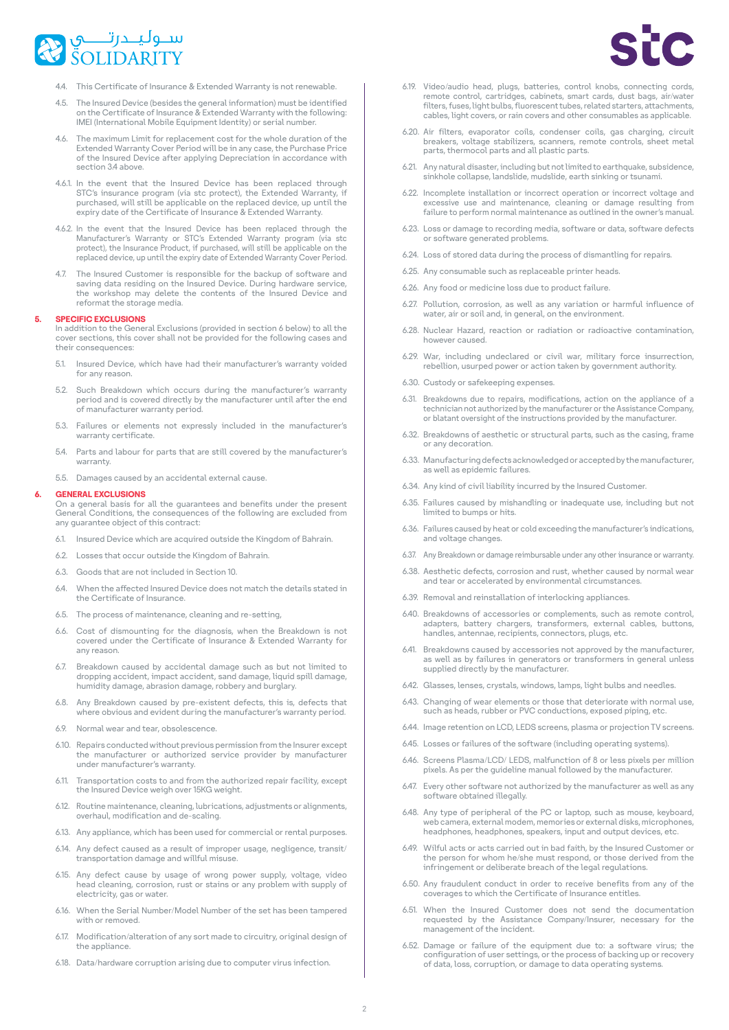

- 4.4. This Certificate of Insurance & Extended Warranty is not renewable
- 4.5. The Insured Device (besides the general information) must be identified on the Certificate of Insurance & Extended Warranty with the following: IMEI (International Mobile Equipment Identity) or serial number
- 4.6. The maximum Limit for replacement cost for the whole duration of the Extended Warranty Cover Period will be in any case, the Purchase Price of the Insured Device after applying Depreciation in accordance with section 3.4 above
- 4.6.1. In the event that the Insured Device has been replaced through<br>STC's insurance program (via stc protect), the Extended Warranty, if prochased, will still be applicable on the replaced device, up until the expiry date of the Certificate of Insurance & Extended Warranty
- 4.6.2. In the event that the Insured Device has been replaced through the Manufacturer's Warranty or STC's Extended Warranty program (via stc protect), the Insurance Product, if purchased, will still be applicable on the replaced device, up until the expiry date of Extended Warranty Cover Period.
- The Insured Customer is responsible for the backup of software and saving data residing on the Insured Device. During hardware service, the workshop may delete the contents of the Insured Device and reformat the storage media.

#### **5.** SPECIFIC EXCLUSIONS

In addition to the General Exclusions (provided in section 6 below) to all the cover sections, this cover shall not be provided for the following cases and their consequences:

- 5.1. Insured Device, which have had their manufacturer's warranty voided for any reason.
- 5.2. Such Breakdown which occurs during the manufacturer's warranty period and is covered directly by the manufacturer until after the end of manufacturer warranty period.
- 5.3. Failures or elements not expressly included in the manufacturer's warranty certificate.
- 5.4. Parts and labour for parts that are still covered by the manufacturer's .warranty
- 5.5. Damages caused by an accidental external cause.

#### **GENERAL EXCLUSIONS**

On a general basis for all the guarantees and benefits under the present General Conditions, the consequences of the following are excluded from any quarantee object of this contract:

- 6.1. Insured Device which are acquired outside the Kingdom of Bahrain.
- 6.2. Losses that occur outside the Kingdom of Bahrain.
- 6.3. Goods that are not included in Section 10.
- in stated the affected lesured Device does not match the details stated in the Certificate of Insurance.
- 6.5. The process of maintenance, cleaning and re-setting,
- 6.6. Cost of dismounting for the diagnosis, when the Breakdown is not covered under the Certificate of Insurance & Extended Warranty for any reason
- $6.7.$  Breakdown caused by accidental damage such as but not limited to dropping accident, impact accident, sand damage, liquid spill damage, humidity damage, abrasion damage, robbery and burglary
- 6.8. Any Breakdown caused by pre-existent defects, this is, defects that where obvious and evident during the manufacturer's warranty period.
- 6.9. Normal wear and tear, obsolescence.
- 6.10. Repairs conducted without previous permission from the Insurer except the manufacturer or authorized service provider by manufacturer under manufacturer's warranty.
- 6.11. Transportation costs to and from the authorized repair facility, except the Insured Device weigh over 15KG weight.
- 6.12. Routine maintenance, cleaning, lubrications, adjustments or alignments, overhaul, modification and de-scaling.
- 6.13. Any appliance, which has been used for commercial or rental purposes.
- 6.14. Any defect caused as a result of improper usage, negligence, transit/ .m., access with the damage and willful misuse.
- 6.15. Any defect cause by usage of wrong power supply, voltage, video head cleaning, corrosion, rust or stains or any problem with supply of electricity, gas or water.
- 6.16. When the Serial Number/Model Number of the set has been tampered with or removed.
- 6.17. Modification/alteration of any sort made to circuitry, original design of the appliance.
- 6.18. Data/hardware corruption arising due to computer virus infection
- 6.19. Video/audio head, plugs, batteries, control knobs, connecting cords, remote control, cartridges, cabinets, smart cards, dust bags, air/water filters, fuses, light bulbs, fluorescent tubes, related starters, attachments, cables, light covers, or rain covers and other consumables as applicable.
- 6.20. Air filters, evaporator coils, condenser coils, gas charging, circuit<br>breakers, voltage stabilizers, scanners, remote controls, sheet metal parts, thermocol parts and all plastic parts.
- 6.21. Any natural disaster, including but not limited to earthquake, subsidence, sinkhole collapse, landslide, mudslide, earth sinking or tsunami.
- 6.22. Incomplete installation or incorrect operation or incorrect voltage and excessive use and maintenance, cleaning or damage resulting from failure to perform normal maintenance as outlined in the owner's manual.
- 6.23. Loss or damage to recording media, software or data, software defects or software generated problems.
- 6.24. Loss of stored data during the process of dismantling for repairs.
- 6.25. Any consumable such as replaceable printer heads.
- 6.26. Any food or medicine loss due to product failure
- 6.27. Pollution, corrosion, as well as any variation or harmful influence of water, air or soil and, in general, on the environment.
- 6.28. Nuclear Hazard, reaction or radiation or radioactive contamination, however caused.
- 6.29. War, including undeclared or civil war, military force insurrection, rebellion, usurped power or action taken by government authority.
- 6.30. Custody or safekeeping expenses.
- 6.31. Breakdowns due to repairs, modifications, action on the appliance of a technician not authorized by the manufacturer or the Assistance Company, or blatant oversight of the instructions provided by the manufacturer
- 6.32. Breakdowns of aesthetic or structural parts, such as the casing, frame or any decoration
- 6.33. Manufacturing defects acknowledged or accepted by the manufacturer, as well as epidemic failures
- 6.34. Any kind of civil liability incurred by the Insured Customer.
- 6.35. Failures caused by mishandling or inadequate use, including but not limited to bumps or hits.
- 6.36. Failures caused by heat or cold exceeding the manufacturer's indications, and voltage changes.
- 6.37. Any Breakdown or damage reimbursable under any other insurance or warranty.
- 6.38. Aesthetic defects, corrosion and rust, whether caused by normal wear and tear or accelerated by environmental circumstances.
- 6.39. Removal and reinstallation of interlocking appliances
- 6.40. Breakdowns of accessories or complements, such as remote control, adapters, battery chargers, transformers, external cables, buttons, handles antennae recipients connectors plugs etc.
- 6.41. Breakdowns caused by accessories not approved by the manufacturer, as well as by failures in generators or transformers in general unless supplied directly by the manufacturer.
- 6.42. Glasses, lenses, crystals, windows, lamps, light bulbs and needles
- 6.43. Changing of wear elements or those that deteriorate with normal use. such as heads, rubber or PVC conductions, exposed piping, etc.
- 6.44. Image retention on LCD, LEDS screens, plasma or projection TV screens.
- 6.45. Losses or failures of the software (including operating systems).
- 646 Screens Plasma/LCD/LEDS malfunction of 8 or less nivels per million pixels. As per the quideline manual followed by the manufacturer.
- 6.47. Every other software not authorized by the manufacturer as well as any software obtained illegally.
- 6.48. Any type of peripheral of the PC or laptop, such as mouse, keyboard, web camera, external modem, memories or external disks, microphones, headphones, headphones, speakers, input and output devices, etc.
- 6.49. Wilful acts or acts carried out in bad faith, by the Insured Customer or the person for whom he/she must respond, or those derived from the infringement or deliberate breach of the legal regulations.
- 6.50. Any fraudulent conduct in order to receive benefits from any of the<br>coverages to which the Certificate of Insurance entitles.
- 6.51. When the Insured Customer does not send the documentation requested by the Assistance Company/Insurer, necessary for the management of the incident.
- 6.52. Damage or failure of the equipment due to: a software virus; the recovery or under the original configuration of user settings, or the process of backing up or recovery of data, loss, corruption, or damage to data operating systems.